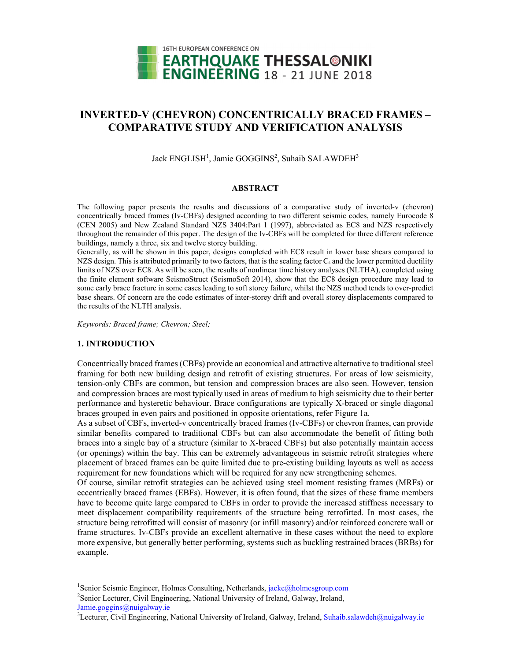

# **INVERTED-V (CHEVRON) CONCENTRICALLY BRACED FRAMES – COMPARATIVE STUDY AND VERIFICATION ANALYSIS**

Jack ENGLISH<sup>1</sup>, Jamie GOGGINS<sup>2</sup>, Suhaib SALAWDEH<sup>3</sup>

# **ABSTRACT**

The following paper presents the results and discussions of a comparative study of inverted-v (chevron) concentrically braced frames (Iv-CBFs) designed according to two different seismic codes, namely Eurocode 8 (CEN 2005) and New Zealand Standard NZS 3404:Part 1 (1997), abbreviated as EC8 and NZS respectively throughout the remainder of this paper. The design of the Iv-CBFs will be completed for three different reference buildings, namely a three, six and twelve storey building.

Generally, as will be shown in this paper, designs completed with EC8 result in lower base shears compared to NZS design. This is attributed primarily to two factors, that is the scaling factor  $C_s$  and the lower permitted ductility limits of NZS over EC8. As will be seen, the results of nonlinear time history analyses (NLTHA), completed using the finite element software SeismoStruct (SeismoSoft 2014), show that the EC8 design procedure may lead to some early brace fracture in some cases leading to soft storey failure, whilst the NZS method tends to over-predict base shears. Of concern are the code estimates of inter-storey drift and overall storey displacements compared to the results of the NLTH analysis.

*Keywords: Braced frame; Chevron; Steel;* 

# **1. INTRODUCTION**

Concentrically braced frames (CBFs) provide an economical and attractive alternative to traditional steel framing for both new building design and retrofit of existing structures. For areas of low seismicity, tension-only CBFs are common, but tension and compression braces are also seen. However, tension and compression braces are most typically used in areas of medium to high seismicity due to their better performance and hysteretic behaviour. Brace configurations are typically X-braced or single diagonal braces grouped in even pairs and positioned in opposite orientations, refer Figure 1a.

As a subset of CBFs, inverted-v concentrically braced frames (Iv-CBFs) or chevron frames, can provide similar benefits compared to traditional CBFs but can also accommodate the benefit of fitting both braces into a single bay of a structure (similar to X-braced CBFs) but also potentially maintain access (or openings) within the bay. This can be extremely advantageous in seismic retrofit strategies where placement of braced frames can be quite limited due to pre-existing building layouts as well as access requirement for new foundations which will be required for any new strengthening schemes.

Of course, similar retrofit strategies can be achieved using steel moment resisting frames (MRFs) or eccentrically braced frames (EBFs). However, it is often found, that the sizes of these frame members have to become quite large compared to CBFs in order to provide the increased stiffness necessary to meet displacement compatibility requirements of the structure being retrofitted. In most cases, the structure being retrofitted will consist of masonry (or infill masonry) and/or reinforced concrete wall or frame structures. Iv-CBFs provide an excellent alternative in these cases without the need to explore more expensive, but generally better performing, systems such as buckling restrained braces (BRBs) for example.

<sup>1</sup>Senior Seismic Engineer, Holmes Consulting, Netherlands, jacke@holmesgroup.com <sup>2</sup>Senior Lecturer, Civil Engineering, National University of Ireland, Galway, Ireland,

Jamie.goggins@nuigalway.ie

<sup>3</sup>Lecturer, Civil Engineering, National University of Ireland, Galway, Ireland, Suhaib.salawdeh@nuigalway.ie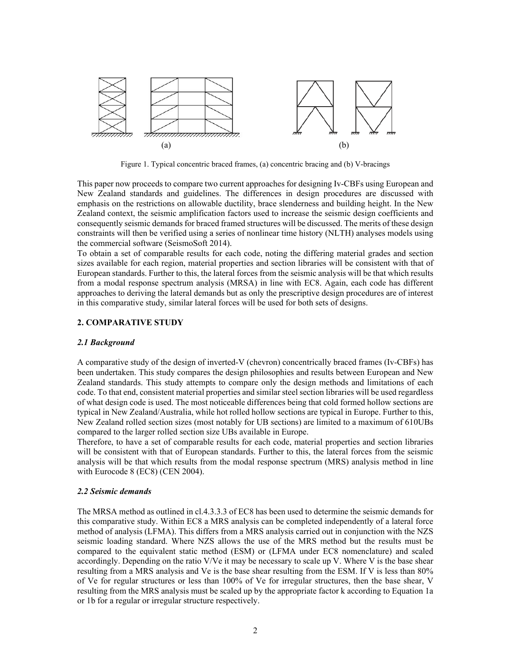

Figure 1. Typical concentric braced frames, (a) concentric bracing and (b) V-bracings

This paper now proceeds to compare two current approaches for designing Iv-CBFs using European and New Zealand standards and guidelines. The differences in design procedures are discussed with emphasis on the restrictions on allowable ductility, brace slenderness and building height. In the New Zealand context, the seismic amplification factors used to increase the seismic design coefficients and consequently seismic demands for braced framed structures will be discussed. The merits of these design constraints will then be verified using a series of nonlinear time history (NLTH) analyses models using the commercial software (SeismoSoft 2014).

To obtain a set of comparable results for each code, noting the differing material grades and section sizes available for each region, material properties and section libraries will be consistent with that of European standards. Further to this, the lateral forces from the seismic analysis will be that which results from a modal response spectrum analysis (MRSA) in line with EC8. Again, each code has different approaches to deriving the lateral demands but as only the prescriptive design procedures are of interest in this comparative study, similar lateral forces will be used for both sets of designs.

# **2. COMPARATIVE STUDY**

# *2.1 Background*

A comparative study of the design of inverted-V (chevron) concentrically braced frames (Iv-CBFs) has been undertaken. This study compares the design philosophies and results between European and New Zealand standards. This study attempts to compare only the design methods and limitations of each code. To that end, consistent material properties and similar steel section libraries will be used regardless of what design code is used. The most noticeable differences being that cold formed hollow sections are typical in New Zealand/Australia, while hot rolled hollow sections are typical in Europe. Further to this, New Zealand rolled section sizes (most notably for UB sections) are limited to a maximum of 610UBs compared to the larger rolled section size UBs available in Europe.

Therefore, to have a set of comparable results for each code, material properties and section libraries will be consistent with that of European standards. Further to this, the lateral forces from the seismic analysis will be that which results from the modal response spectrum (MRS) analysis method in line with Eurocode 8 (EC8) (CEN 2004).

# *2.2 Seismic demands*

The MRSA method as outlined in cl.4.3.3.3 of EC8 has been used to determine the seismic demands for this comparative study. Within EC8 a MRS analysis can be completed independently of a lateral force method of analysis (LFMA). This differs from a MRS analysis carried out in conjunction with the NZS seismic loading standard. Where NZS allows the use of the MRS method but the results must be compared to the equivalent static method (ESM) or (LFMA under EC8 nomenclature) and scaled accordingly. Depending on the ratio V/Ve it may be necessary to scale up V. Where V is the base shear resulting from a MRS analysis and Ve is the base shear resulting from the ESM. If V is less than 80% of Ve for regular structures or less than 100% of Ve for irregular structures, then the base shear, V resulting from the MRS analysis must be scaled up by the appropriate factor k according to Equation 1a or 1b for a regular or irregular structure respectively.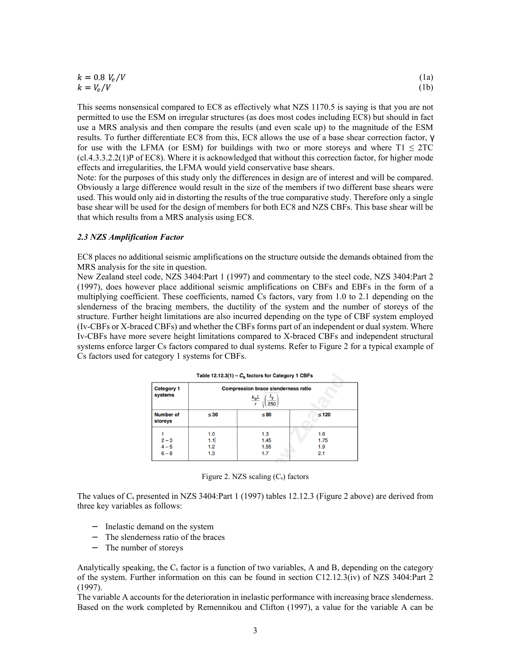$$
k = 0.8 V_e/V
$$
  
(1a)  

$$
k = V_e/V
$$
  
(1b)

This seems nonsensical compared to EC8 as effectively what NZS 1170.5 is saying is that you are not permitted to use the ESM on irregular structures (as does most codes including EC8) but should in fact use a MRS analysis and then compare the results (and even scale up) to the magnitude of the ESM results. To further differentiate EC8 from this, EC8 allows the use of a base shear correction factor, γ for use with the LFMA (or ESM) for buildings with two or more storeys and where  $T1 \leq 2TC$ (cl.4.3.3.2.2(1)P of EC8). Where it is acknowledged that without this correction factor, for higher mode effects and irregularities, the LFMA would yield conservative base shears.

Note: for the purposes of this study only the differences in design are of interest and will be compared. Obviously a large difference would result in the size of the members if two different base shears were used. This would only aid in distorting the results of the true comparative study. Therefore only a single base shear will be used for the design of members for both EC8 and NZS CBFs. This base shear will be that which results from a MRS analysis using EC8.

#### *2.3 NZS Amplification Factor*

EC8 places no additional seismic amplifications on the structure outside the demands obtained from the MRS analysis for the site in question.

New Zealand steel code, NZS 3404:Part 1 (1997) and commentary to the steel code, NZS 3404:Part 2 (1997), does however place additional seismic amplifications on CBFs and EBFs in the form of a multiplying coefficient. These coefficients, named Cs factors, vary from 1.0 to 2.1 depending on the slenderness of the bracing members, the ductility of the system and the number of storeys of the structure. Further height limitations are also incurred depending on the type of CBF system employed (Iv-CBFs or X-braced CBFs) and whether the CBFs forms part of an independent or dual system. Where Iv-CBFs have more severe height limitations compared to X-braced CBFs and independent structural systems enforce larger Cs factors compared to dual systems. Refer to Figure 2 for a typical example of Cs factors used for category 1 systems for CBFs.

| <b>Category 1</b><br>systems  | <b>Compression brace slenderness ratio</b><br>$k_{\rm e}L$<br>'y<br>250 |                            |                           |  |  |  |
|-------------------------------|-------------------------------------------------------------------------|----------------------------|---------------------------|--|--|--|
| <b>Number of</b><br>storeys   | $\leq 30$                                                               | $\leq 80$                  | $\leq 120$                |  |  |  |
| $2 - 3$<br>$4 - 5$<br>$6 - 8$ | 1.0<br>1.1<br>1.2<br>1.3                                                | 1.3<br>1.45<br>1.55<br>1.7 | 1.6<br>1.75<br>1.9<br>2.1 |  |  |  |

Table 12.12.3(1) –  $C_{\rm s}$  factors for Category 1 CBFs

Figure 2. NZS scaling (Cs) factors

The values of  $C_s$  presented in NZS 3404:Part 1 (1997) tables 12.12.3 (Figure 2 above) are derived from three key variables as follows:

- − Inelastic demand on the system
- − The slenderness ratio of the braces
- − The number of storeys

Analytically speaking, the  $C_s$  factor is a function of two variables, A and B, depending on the category of the system. Further information on this can be found in section C12.12.3(iv) of NZS 3404:Part 2 (1997).

The variable A accounts for the deterioration in inelastic performance with increasing brace slenderness. Based on the work completed by Remennikou and Clifton (1997), a value for the variable A can be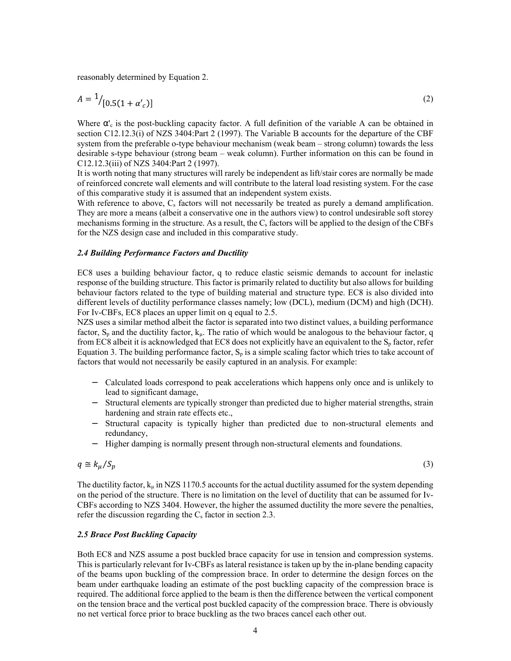reasonably determined by Equation 2.

$$
A = \frac{1}{[0.5(1 + \alpha'_{c})]}
$$
 (2)

Where  $\alpha'_{c}$  is the post-buckling capacity factor. A full definition of the variable A can be obtained in section C12.12.3(i) of NZS 3404:Part 2 (1997). The Variable B accounts for the departure of the CBF system from the preferable o-type behaviour mechanism (weak beam – strong column) towards the less desirable s-type behaviour (strong beam – weak column). Further information on this can be found in C12.12.3(iii) of NZS 3404:Part 2 (1997).

It is worth noting that many structures will rarely be independent as lift/stair cores are normally be made of reinforced concrete wall elements and will contribute to the lateral load resisting system. For the case of this comparative study it is assumed that an independent system exists.

With reference to above, C<sub>s</sub> factors will not necessarily be treated as purely a demand amplification. They are more a means (albeit a conservative one in the authors view) to control undesirable soft storey mechanisms forming in the structure. As a result, the  $C_s$  factors will be applied to the design of the CBFs for the NZS design case and included in this comparative study.

## *2.4 Building Performance Factors and Ductility*

EC8 uses a building behaviour factor, q to reduce elastic seismic demands to account for inelastic response of the building structure. This factor is primarily related to ductility but also allows for building behaviour factors related to the type of building material and structure type. EC8 is also divided into different levels of ductility performance classes namely; low (DCL), medium (DCM) and high (DCH). For Iv-CBFs, EC8 places an upper limit on q equal to 2.5.

NZS uses a similar method albeit the factor is separated into two distinct values, a building performance factor,  $S_p$  and the ductility factor,  $k_\mu$ . The ratio of which would be analogous to the behaviour factor, q from EC8 albeit it is acknowledged that EC8 does not explicitly have an equivalent to the  $S_p$  factor, refer Equation 3. The building performance factor,  $S_p$  is a simple scaling factor which tries to take account of factors that would not necessarily be easily captured in an analysis. For example:

- − Calculated loads correspond to peak accelerations which happens only once and is unlikely to lead to significant damage,
- − Structural elements are typically stronger than predicted due to higher material strengths, strain hardening and strain rate effects etc.,
- − Structural capacity is typically higher than predicted due to non-structural elements and redundancy,
- − Higher damping is normally present through non-structural elements and foundations.

$$
q \cong k_{\mu}/S_p \tag{3}
$$

The ductility factor,  $k_{\mu}$  in NZS 1170.5 accounts for the actual ductility assumed for the system depending on the period of the structure. There is no limitation on the level of ductility that can be assumed for Iv-CBFs according to NZS 3404. However, the higher the assumed ductility the more severe the penalties, refer the discussion regarding the  $C_s$  factor in section 2.3.

#### *2.5 Brace Post Buckling Capacity*

Both EC8 and NZS assume a post buckled brace capacity for use in tension and compression systems. This is particularly relevant for Iv-CBFs as lateral resistance is taken up by the in-plane bending capacity of the beams upon buckling of the compression brace. In order to determine the design forces on the beam under earthquake loading an estimate of the post buckling capacity of the compression brace is required. The additional force applied to the beam is then the difference between the vertical component on the tension brace and the vertical post buckled capacity of the compression brace. There is obviously no net vertical force prior to brace buckling as the two braces cancel each other out.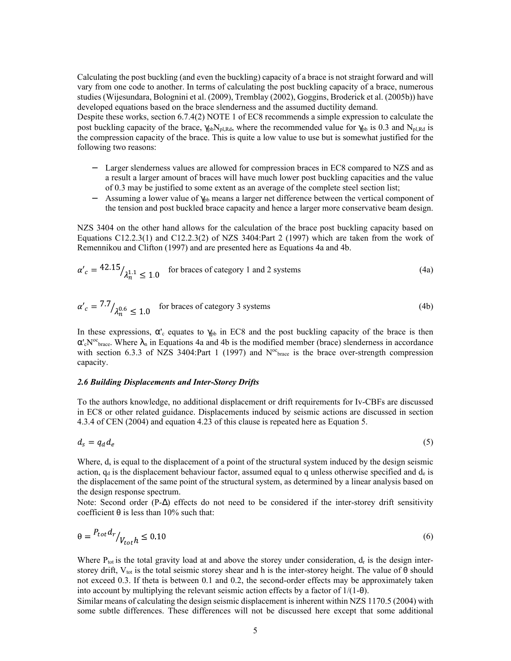Calculating the post buckling (and even the buckling) capacity of a brace is not straight forward and will vary from one code to another. In terms of calculating the post buckling capacity of a brace, numerous studies (Wijesundara, Bolognini et al. (2009), Tremblay (2002), Goggins, Broderick et al. (2005b)) have developed equations based on the brace slenderness and the assumed ductility demand.

Despite these works, section 6.7.4(2) NOTE 1 of EC8 recommends a simple expression to calculate the post buckling capacity of the brace,  $\gamma_{pb}N_{pl,Rd}$ , where the recommended value for  $\gamma_{pb}$  is 0.3 and N<sub>pl,Rd</sub> is the compression capacity of the brace. This is quite a low value to use but is somewhat justified for the following two reasons:

- − Larger slenderness values are allowed for compression braces in EC8 compared to NZS and as a result a larger amount of braces will have much lower post buckling capacities and the value of 0.3 may be justified to some extent as an average of the complete steel section list;
- − Assuming a lower value of  $\gamma_{\text{pb}}$  means a larger net difference between the vertical component of the tension and post buckled brace capacity and hence a larger more conservative beam design.

NZS 3404 on the other hand allows for the calculation of the brace post buckling capacity based on Equations C12.2.3(1) and C12.2.3(2) of NZS 3404:Part 2 (1997) which are taken from the work of Remennikou and Clifton (1997) and are presented here as Equations 4a and 4b.

$$
\alpha'_{c} = \frac{42.15}{\lambda_n^{1.1} \le 1.0}
$$
 for braces of category 1 and 2 systems (4a)

$$
\alpha'_{c} = \frac{7.7}{\lambda_n^{0.6}} \le 1.0
$$
 for braces of category 3 systems (4b)

In these expressions,  $\alpha'_{c}$  equates to  $\gamma_{pb}$  in EC8 and the post buckling capacity of the brace is then  $\alpha'_{c}N^{oc}$ <sub>brace</sub>. Where  $\lambda_{n}$  in Equations 4a and 4b is the modified member (brace) slenderness in accordance with section 6.3.3 of NZS 3404: Part 1 (1997) and  $N^{\text{oc}}_{\text{brace}}$  is the brace over-strength compression capacity.

### *2.6 Building Displacements and Inter-Storey Drifts*

To the authors knowledge, no additional displacement or drift requirements for Iv-CBFs are discussed in EC8 or other related guidance. Displacements induced by seismic actions are discussed in section 4.3.4 of CEN (2004) and equation 4.23 of this clause is repeated here as Equation 5.

$$
d_s = q_d d_e \tag{5}
$$

Where,  $d_s$  is equal to the displacement of a point of the structural system induced by the design seismic action,  $q_d$  is the displacement behaviour factor, assumed equal to q unless otherwise specified and  $d_e$  is the displacement of the same point of the structural system, as determined by a linear analysis based on the design response spectrum.

Note: Second order (P- $\Delta$ ) effects do not need to be considered if the inter-storey drift sensitivity coefficient θ is less than  $10\%$  such that:

$$
\theta = \frac{P_{tot} d_r}{V_{tot} h} \le 0.10
$$
\n<sup>(6)</sup>

Where  $P_{tot}$  is the total gravity load at and above the storey under consideration,  $d_r$  is the design interstorey drift, V<sub>tot</sub> is the total seismic storey shear and h is the inter-storey height. The value of θ should not exceed 0.3. If theta is between 0.1 and 0.2, the second-order effects may be approximately taken into account by multiplying the relevant seismic action effects by a factor of  $1/(1-\theta)$ .

Similar means of calculating the design seismic displacement is inherent within NZS 1170.5 (2004) with some subtle differences. These differences will not be discussed here except that some additional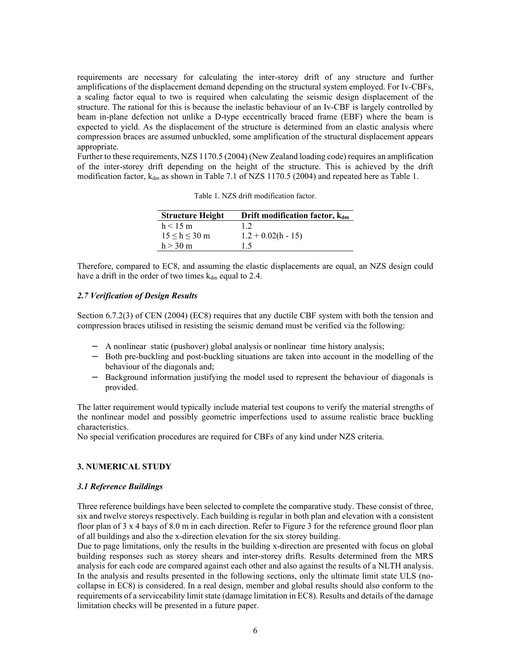requirements are necessary for calculating the inter-storey drift of any structure and further amplifications of the displacement demand depending on the structural system employed. For Iv-CBFs, a scaling factor equal to two is required when calculating the seismic design displacement of the structure. The rational for this is because the inelastic behaviour of an Iv-CBF is largely controlled by beam in-plane defection not unlike a D-type eccentrically braced frame (EBF) where the beam is expected to yield. As the displacement of the structure is determined from an elastic analysis where compression braces are assumed unbuckled, some amplification of the structural displacement appears appropriate.

Further to these requirements, NZS 1170.5 (2004) (New Zealand loading code) requires an amplification of the inter-storey drift depending on the height of the structure. This is achieved by the drift modification factor,  $k_{dm}$  as shown in Table 7.1 of NZS 1170.5 (2004) and repeated here as Table 1.

| <b>Structure Height</b> | Drift modification factor, k <sub>dm</sub> |
|-------------------------|--------------------------------------------|
| $h < 15$ m              | 12                                         |
| $15 < h < 30$ m         | $1.2 + 0.02(h - 15)$                       |
| $h > 30$ m              | 15                                         |

Table 1. NZS drift modification factor.

Therefore, compared to EC8, and assuming the elastic displacements are equal, an NZS design could have a drift in the order of two times  $k_{dm}$  equal to 2.4.

# *2.7 Verification of Design Results*

Section 6.7.2(3) of CEN (2004) (EC8) requires that any ductile CBF system with both the tension and compression braces utilised in resisting the seismic demand must be verified via the following:

- − A nonlinear static (pushover) global analysis or nonlinear time history analysis;
- − Both pre-buckling and post-buckling situations are taken into account in the modelling of the behaviour of the diagonals and;
- − Background information justifying the model used to represent the behaviour of diagonals is provided.

The latter requirement would typically include material test coupons to verify the material strengths of the nonlinear model and possibly geometric imperfections used to assume realistic brace buckling characteristics.

No special verification procedures are required for CBFs of any kind under NZS criteria.

# **3. NUMERICAL STUDY**

#### *3.1 Reference Buildings*

Three reference buildings have been selected to complete the comparative study. These consist of three, six and twelve storeys respectively. Each building is regular in both plan and elevation with a consistent floor plan of 3 x 4 bays of 8.0 m in each direction. Refer to Figure 3 for the reference ground floor plan of all buildings and also the x-direction elevation for the six storey building.

Due to page limitations, only the results in the building x-direction are presented with focus on global building responses such as storey shears and inter-storey drifts. Results determined from the MRS analysis for each code are compared against each other and also against the results of a NLTH analysis. In the analysis and results presented in the following sections, only the ultimate limit state ULS (nocollapse in EC8) is considered. In a real design, member and global results should also conform to the requirements of a serviceability limit state (damage limitation in EC8). Results and details of the damage limitation checks will be presented in a future paper.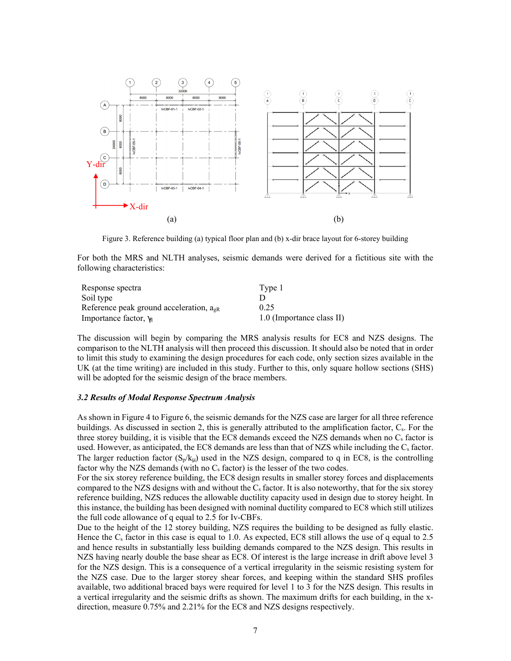

Figure 3. Reference building (a) typical floor plan and (b) x-dir brace layout for 6-storey building

For both the MRS and NLTH analyses, seismic demands were derived for a fictitious site with the following characteristics:

| Response spectra                             | Type 1                    |
|----------------------------------------------|---------------------------|
| Soil type                                    |                           |
| Reference peak ground acceleration, $a_{gR}$ | 0.25                      |
| Importance factor, $\gamma_1$                | 1.0 (Importance class II) |

The discussion will begin by comparing the MRS analysis results for EC8 and NZS designs. The comparison to the NLTH analysis will then proceed this discussion. It should also be noted that in order to limit this study to examining the design procedures for each code, only section sizes available in the UK (at the time writing) are included in this study. Further to this, only square hollow sections (SHS) will be adopted for the seismic design of the brace members.

#### *3.2 Results of Modal Response Spectrum Analysis*

As shown in Figure 4 to Figure 6, the seismic demands for the NZS case are larger for all three reference buildings. As discussed in section 2, this is generally attributed to the amplification factor, Cs. For the three storey building, it is visible that the EC8 demands exceed the NZS demands when no  $C_s$  factor is used. However, as anticipated, the EC8 demands are less than that of NZS while including the  $C_s$  factor. The larger reduction factor  $(S_n/k_u)$  used in the NZS design, compared to q in EC8, is the controlling factor why the NZS demands (with no C<sub>s</sub> factor) is the lesser of the two codes.

For the six storey reference building, the EC8 design results in smaller storey forces and displacements compared to the NZS designs with and without the  $C_s$  factor. It is also noteworthy, that for the six storey reference building, NZS reduces the allowable ductility capacity used in design due to storey height. In this instance, the building has been designed with nominal ductility compared to EC8 which still utilizes the full code allowance of q equal to 2.5 for Iv-CBFs.

Due to the height of the 12 storey building, NZS requires the building to be designed as fully elastic. Hence the  $C_s$  factor in this case is equal to 1.0. As expected, EC8 still allows the use of q equal to 2.5 and hence results in substantially less building demands compared to the NZS design. This results in NZS having nearly double the base shear as EC8. Of interest is the large increase in drift above level 3 for the NZS design. This is a consequence of a vertical irregularity in the seismic resisting system for the NZS case. Due to the larger storey shear forces, and keeping within the standard SHS profiles available, two additional braced bays were required for level 1 to 3 for the NZS design. This results in a vertical irregularity and the seismic drifts as shown. The maximum drifts for each building, in the xdirection, measure 0.75% and 2.21% for the EC8 and NZS designs respectively.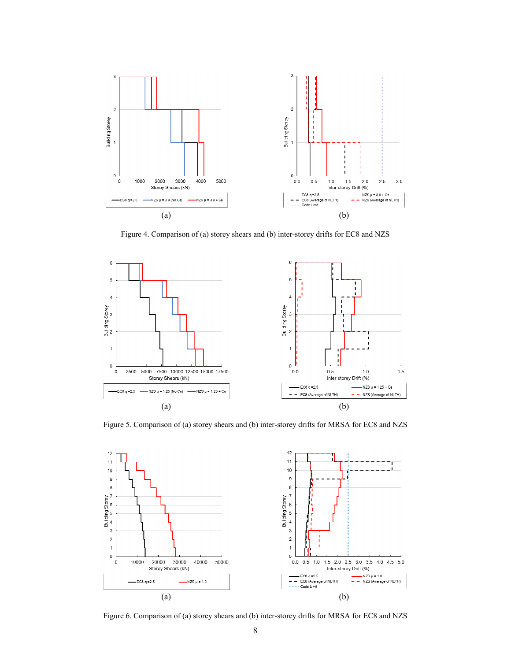

Figure 4. Comparison of (a) storey shears and (b) inter-storey drifts for EC8 and NZS



Figure 5. Comparison of (a) storey shears and (b) inter-storey drifts for MRSA for EC8 and NZS



Figure 6. Comparison of (a) storey shears and (b) inter-storey drifts for MRSA for EC8 and NZS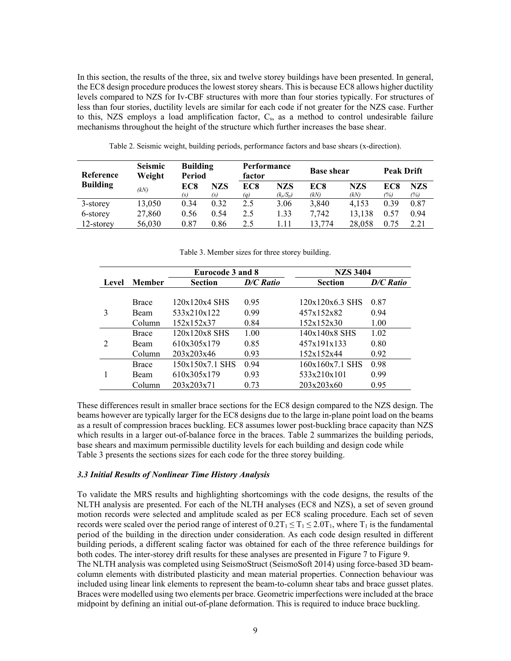In this section, the results of the three, six and twelve storey buildings have been presented. In general, the EC8 design procedure produces the lowest storey shears. This is because EC8 allows higher ductility levels compared to NZS for Iv-CBF structures with more than four stories typically. For structures of less than four stories, ductility levels are similar for each code if not greater for the NZS case. Further to this, NZS employs a load amplification factor,  $C_s$ , as a method to control undesirable failure mechanisms throughout the height of the structure which further increases the base shear.

| Reference       | Seismic<br>Weight | <b>Building</b><br>Period |      | Performance<br>factor |             | <b>Base shear</b> |            | <b>Peak Drift</b> |            |
|-----------------|-------------------|---------------------------|------|-----------------------|-------------|-------------------|------------|-------------------|------------|
| <b>Building</b> | (kN)              | EC8                       | NZS  | EC8                   | NZS         | EC8               | <b>NZS</b> | EC8               | <b>NZS</b> |
|                 |                   | $\left( s\right)$         | (s)  | $\left( q\right)$     | $(k_u/S_v)$ | (kN)              | (kN)       | (%)               | (%)        |
| 3-storey        | 13,050            | 0.34                      | 0.32 | 2.5                   | 3.06        | 3,840             | 4.153      | 0.39              | 0.87       |
| 6-storey        | 27,860            | 0.56                      | 0.54 | 2.5                   | 1.33        | 7.742             | 13.138     | 0.57              | 0.94       |
| 12-storey       | 56,030            | 0.87                      | 0.86 | 2.5                   | 1.11        | 13.774            | 28,058     | 0.75              | 2.21       |

Table 3. Member sizes for three storey building.

Table 2. Seismic weight, building periods, performance factors and base shears (x-direction).

|                             |               | Lavie 5. Member sizes for three storey building. |                  |                 |                  |  |  |
|-----------------------------|---------------|--------------------------------------------------|------------------|-----------------|------------------|--|--|
|                             |               | <b>Eurocode 3 and 8</b>                          |                  | <b>NZS 3404</b> |                  |  |  |
| Level                       | <b>Member</b> | Section                                          | <b>D/C</b> Ratio | <b>Section</b>  | <b>D/C</b> Ratio |  |  |
|                             | <b>Brace</b>  | 120x120x4 SHS                                    | 0.95             | 120x120x6.3 SHS | 0.87             |  |  |
| 3                           | Beam          | 533x210x122                                      | 0.99             | 457x152x82      | 0.94             |  |  |
|                             | Column        | 152x152x37                                       | 0.84             | 152x152x30      | 1.00             |  |  |
|                             | <b>Brace</b>  | 120x120x8 SHS                                    | 1.00             | 140x140x8 SHS   | 1.02             |  |  |
| $\mathcal{D}_{\mathcal{L}}$ | Beam          | 610x305x179                                      | 0.85             | 457x191x133     | 0.80             |  |  |
|                             | Column        | 203x203x46                                       | 0.93             | 152x152x44      | 0.92             |  |  |
|                             | <b>Brace</b>  | 150x150x7.1 SHS                                  | 0.94             | 160x160x7.1 SHS | 0.98             |  |  |
|                             | Beam          | 610x305x179                                      | 0.93             | 533x210x101     | 0.99             |  |  |
|                             | Column        | 203x203x71                                       | 0.73             | 203x203x60      | 0.95             |  |  |

These differences result in smaller brace sections for the EC8 design compared to the NZS design. The beams however are typically larger for the EC8 designs due to the large in-plane point load on the beams as a result of compression braces buckling. EC8 assumes lower post-buckling brace capacity than NZS which results in a larger out-of-balance force in the braces. Table 2 summarizes the building periods, base shears and maximum permissible ductility levels for each building and design code while

Table 3 presents the sections sizes for each code for the three storey building.

#### *3.3 Initial Results of Nonlinear Time History Analysis*

To validate the MRS results and highlighting shortcomings with the code designs, the results of the NLTH analysis are presented. For each of the NLTH analyses (EC8 and NZS), a set of seven ground motion records were selected and amplitude scaled as per EC8 scaling procedure. Each set of seven records were scaled over the period range of interest of  $0.2T_1 \leq T_1 \leq 2.0T_1$ , where  $T_1$  is the fundamental period of the building in the direction under consideration. As each code design resulted in different building periods, a different scaling factor was obtained for each of the three reference buildings for both codes. The inter-storey drift results for these analyses are presented in Figure 7 to Figure 9. The NLTH analysis was completed using SeismoStruct (SeismoSoft 2014) using force-based 3D beamcolumn elements with distributed plasticity and mean material properties. Connection behaviour was included using linear link elements to represent the beam-to-column shear tabs and brace gusset plates. Braces were modelled using two elements per brace. Geometric imperfections were included at the brace midpoint by defining an initial out-of-plane deformation. This is required to induce brace buckling.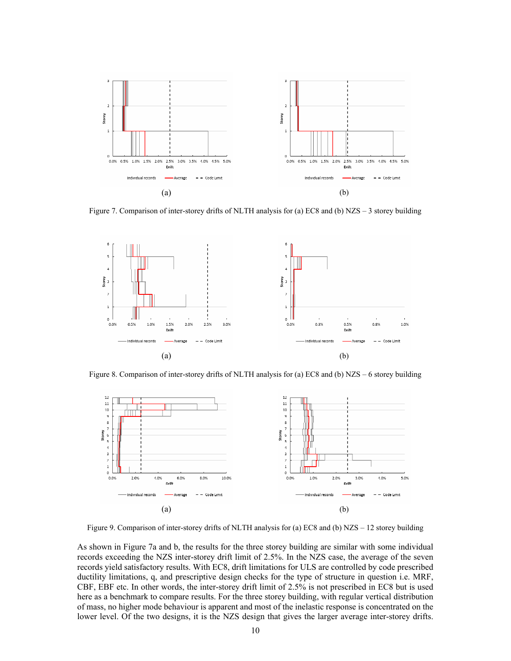

Figure 7. Comparison of inter-storey drifts of NLTH analysis for (a) EC8 and (b) NZS – 3 storey building



Figure 8. Comparison of inter-storey drifts of NLTH analysis for (a) EC8 and (b) NZS – 6 storey building



Figure 9. Comparison of inter-storey drifts of NLTH analysis for (a) EC8 and (b) NZS – 12 storey building

As shown in Figure 7a and b, the results for the three storey building are similar with some individual records exceeding the NZS inter-storey drift limit of 2.5%. In the NZS case, the average of the seven records yield satisfactory results. With EC8, drift limitations for ULS are controlled by code prescribed ductility limitations, q, and prescriptive design checks for the type of structure in question i.e. MRF, CBF, EBF etc. In other words, the inter-storey drift limit of 2.5% is not prescribed in EC8 but is used here as a benchmark to compare results. For the three storey building, with regular vertical distribution of mass, no higher mode behaviour is apparent and most of the inelastic response is concentrated on the lower level. Of the two designs, it is the NZS design that gives the larger average inter-storey drifts.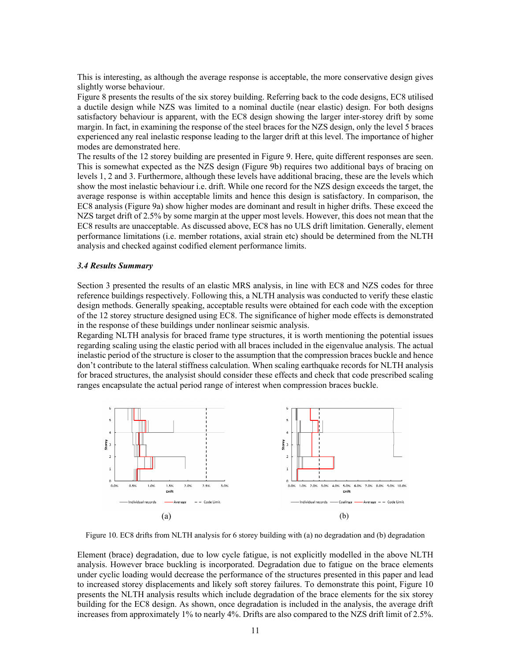This is interesting, as although the average response is acceptable, the more conservative design gives slightly worse behaviour.

Figure 8 presents the results of the six storey building. Referring back to the code designs, EC8 utilised a ductile design while NZS was limited to a nominal ductile (near elastic) design. For both designs satisfactory behaviour is apparent, with the EC8 design showing the larger inter-storey drift by some margin. In fact, in examining the response of the steel braces for the NZS design, only the level 5 braces experienced any real inelastic response leading to the larger drift at this level. The importance of higher modes are demonstrated here.

The results of the 12 storey building are presented in Figure 9. Here, quite different responses are seen. This is somewhat expected as the NZS design (Figure 9b) requires two additional bays of bracing on levels 1, 2 and 3. Furthermore, although these levels have additional bracing, these are the levels which show the most inelastic behaviour i.e. drift. While one record for the NZS design exceeds the target, the average response is within acceptable limits and hence this design is satisfactory. In comparison, the EC8 analysis (Figure 9a) show higher modes are dominant and result in higher drifts. These exceed the NZS target drift of 2.5% by some margin at the upper most levels. However, this does not mean that the EC8 results are unacceptable. As discussed above, EC8 has no ULS drift limitation. Generally, element performance limitations (i.e. member rotations, axial strain etc) should be determined from the NLTH analysis and checked against codified element performance limits.

## *3.4 Results Summary*

Section 3 presented the results of an elastic MRS analysis, in line with EC8 and NZS codes for three reference buildings respectively. Following this, a NLTH analysis was conducted to verify these elastic design methods. Generally speaking, acceptable results were obtained for each code with the exception of the 12 storey structure designed using EC8. The significance of higher mode effects is demonstrated in the response of these buildings under nonlinear seismic analysis.

Regarding NLTH analysis for braced frame type structures, it is worth mentioning the potential issues regarding scaling using the elastic period with all braces included in the eigenvalue analysis. The actual inelastic period of the structure is closer to the assumption that the compression braces buckle and hence don't contribute to the lateral stiffness calculation. When scaling earthquake records for NLTH analysis for braced structures, the analysist should consider these effects and check that code prescribed scaling ranges encapsulate the actual period range of interest when compression braces buckle.



Figure 10. EC8 drifts from NLTH analysis for 6 storey building with (a) no degradation and (b) degradation

Element (brace) degradation, due to low cycle fatigue, is not explicitly modelled in the above NLTH analysis. However brace buckling is incorporated. Degradation due to fatigue on the brace elements under cyclic loading would decrease the performance of the structures presented in this paper and lead to increased storey displacements and likely soft storey failures. To demonstrate this point, Figure 10 presents the NLTH analysis results which include degradation of the brace elements for the six storey building for the EC8 design. As shown, once degradation is included in the analysis, the average drift increases from approximately 1% to nearly 4%. Drifts are also compared to the NZS drift limit of 2.5%.